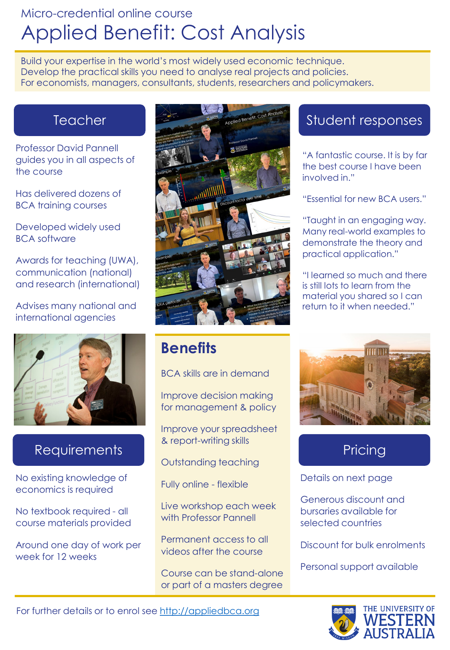## Micro-credential online course Applied Benefit: Cost Analysis

Build your expertise in the world's most widely used economic technique. Develop the practical skills you need to analyse real projects and policies. For economists, managers, consultants, students, researchers and policymakers.

### **Teacher**

Professor David Pannell guides you in all aspects of the course

Has delivered dozens of BCA training courses

Developed widely used BCA software

Awards for teaching (UWA), communication (national) and research (international)

Advises many national and international agencies



### **Requirements**

No existing knowledge of economics is required

No textbook required - all course materials provided

Around one day of work per week for 12 weeks



## **Benefits**

BCA skills are in demand

Improve decision making for management & policy

Improve your spreadsheet & report-writing skills

Outstanding teaching

Fully online - flexible

Live workshop each week with Professor Pannell

Permanent access to all videos after the course

Course can be stand-alone or part of a masters degree

### Student responses

"A fantastic course. It is by far the best course I have been involved in."

"Essential for new BCA users."

"Taught in an engaging way. Many real-world examples to demonstrate the theory and practical application."

"I learned so much and there is still lots to learn from the material you shared so I can return to it when needed."



## **Pricing**

Details on next page

Generous discount and bursaries available for selected countries

Discount for bulk enrolments

Personal support available